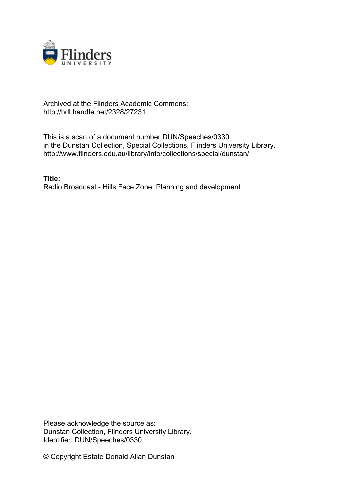

## Archived at the Flinders Academic Commons: http://hdl.handle.net/2328/27231

This is a scan of a document number DUN/Speeches/0330 in the Dunstan Collection, Special Collections, Flinders University Library. http://www.flinders.edu.au/library/info/collections/special/dunstan/

**Title:** Radio Broadcast - Hills Face Zone: Planning and development

Please acknowledge the source as: Dunstan Collection, Flinders University Library. Identifier: DUN/Speeches/0330

© Copyright Estate Donald Allan Dunstan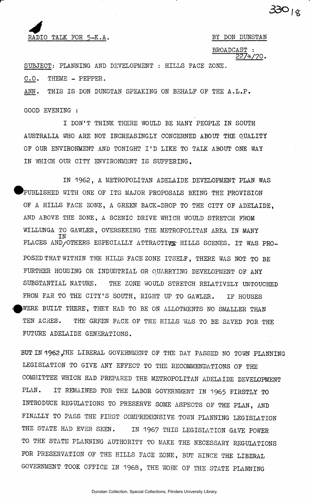## *4*  RADIO TALK FOR 5-K.A. BY DON DUNSTAN

**33o** 

BROADCAST : **HZfiZZ°-**

SUBJECT: PLANNING AND DEVELOPMENT : HILLS FACE ZONE.<br>SUBJECT: PLANNING AND DEVELOPMENT : HILLS FACE ZONE.  $\mathbb{C}^{N-1}$  and the channel of the control of the control of the control of the control of the control of the control of the control of the control of the control of the control of the control of the control of the contr

ANN. THIS IS DON DUNSTAN SPEAKING ON BEHALF OF THE A.L.P.

GOOD EVENING :

I DON'T THINK THERE WOULD BE MANY PEOPLE IN SOUTH AUSTRALIA WHO ARE NOT INCREASINGLY CONCERNED ABOUT THE QUALITY OF OUR ENVIRONMENT AND TONIGHT I'D LIKE TO TALK ABOUT ONE WAY IN WHICH OUR CITY ENVIRONMENT IS SUFFERING.

IN 1962, A METROPOLITAN ADELAIDE DEVELOPMENT PLAN WAS PUBLISHED WITH ONE OF ITS MAJOR PROPOSALS BEING THE PROVISION OF A HILLS FACE ZONE, A GREEN BACK-DROP TO THE CITY OF ADELAIDE, AND ABOVE THE ZONE, A SCENIC DRIVE WHICH WOULD STRETCH FROM WILLUNGA TO GAWLER, OVERSEEING THE METROPOLITAN AREA IN MANY IN PLACES AND/OTHERS ESPECIALLY ATTRACTI^- HILLS SCENES. IT WAS PRO-POSED THAT WITHIN THE HILIS FACE ZONE ITSELF, THERE WAS NOT TO BE FURTHER HOUSING OR INDUSTRIAL OR QUARRYING DEVELOPMENT OF ANY SUBSTANTIAL NATURE. THE ZONE WOULD STRETCH RELATIVELY UNTOUCHED FROM FAR TO THE CITY'S SOUTH, RIGHT UP TO GAWLER. IF HOUSES WERE BUILT THERE, THEY HAD TO BE ON ALLOTMENTS NO SMALLER THAN TEN ACRES. THE GREEN FACE OF THE HILLS WAS TO BE SAVED FOR THE FUTURE ADELAIDE GENERATIONS.

BUT IN 1962, THE LIBERAL GOVERNMENT OF THE DAY PASSED NO TOWN PLANNING LEGISLATION TO GIVE ANY EFFECT TO THE RECOMMENDATIONS OF THE COMMITTEE WHICH HAD PREPARED THE METROPOLITAN ADELAIDE DEVELOPMENT PLAN. IT REMAINED FOR THE LABOR GOVERNMENT IN 1965 FIRSTLY TO INTRODUCE REGULATIONS TO PRESERVE SOME ASPECTS OF THE PLAN, AND FINALLY TO PASS THE FIRST COMPREHENSIVE TOWN PLANNING LEGISLATION THE STATE HAD EVER SEEN. IN 1967 THIS LEGISLATION GAVE POWER TO THE STATE PLANNING AUTHORITY TO MAKE THE NECESSARY REGULATIONS FOR PRESERVATION OF THE HILLS FACE ZONE, BUT SINCE THE LIBERAL GOVERNMENT TOOK OFFICE IN 1968, THE WORK OF THE STATE PLANNING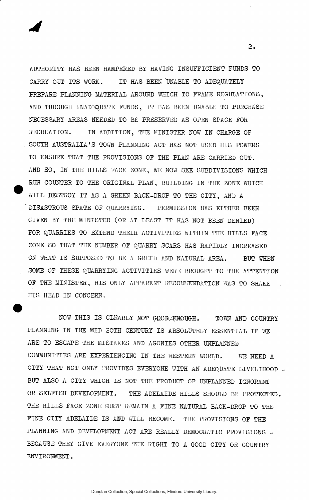AUTHORITY HAS BEEN HAMPERED BY HAVING INSUFFICIENT FUNDS TO CARRY OUT ITS WORK. IT HAS BEEN UNABLE TO ADEQUATELY PREPARE PLANNING MATERIAL AROUND WHICH TO FRAME REGULATIONS, AND THROUGH INADEQUATE FUNDS, IT HAS BEEN UNABLE TO PURCHASE NECESSARY AREAS NEEDED TO BE PRESERVED AS OPEN SPACE FOR RECREATION. IN ADDITION, THE MINISTER NOW IN CHARGE OF SOUTH AUSTRALIA'S TOWN PLANNING ACT HAS NOT USED HIS POWERS TO ENSURE THAT THE PROVISIONS OF THE PLAN ARE CARRIED OUT. AND SO, IN THE HILLS FACE ZONE, WE NOW SEE SUBDIVISIONS WHICH RUN COUNTER TO THE ORIGINAL PLAN, BUILDING IN THE ZONE WHICH WILL DESTROY IT AS A GREEN BACK-DROP TO THE CITY, AND A DISASTROUS SPATE OF QUARRYING. PERMISSION HAS EITHER BEEN GIVEN BY THE MINISTER (OR AT LEAST IT HAS NOT BEEN DENIED) FOR QUARRIES TO EXTEND THEIR ACTIVITIES WITHIN THE HILLS FACE ZONE SO THAT THE NUMBER OF QUARRY SCARS HAS RAPIDLY INCREASED ON WHAT IS SUPPOSED TO BE A GREEti AND NATURAL AREA. BUT WHEN SOME OF THESE QUARRYING ACTIVITIES WERE BROUGHT TO THE ATTENTION OF THE MINISTER, HIS ONLY APPARENT RECOMMENDATION WAS TO SHAKE HIS HEAD IN CONCERN.

NOW THIS IS CLEARLY NOT GOOD, ENOUGH. TOWN AND COUNTRY PLANNING IN THE MID 20TH CENTURY IS ABSOLUTELY ESSENTIAL IF WE ARE TO ESCAPE THE MISTAKES AND AGONIES OTHER UNPLANNED COMMUNITIES ARE EXPERIENCING IN THE WESTERN WORLD. WE NEED A CITY THAT NOT ONLY PROVIDES EVERYONE WITH AN ADEQUATE LIVELIHOOD BUT ALSO A CITY WHICH IS NOT THE PRODUCT OF UNPLANNED IGNORANT OR SELFISH DEVELOPMENT. THE ADELAIDE HILLS SHOULD BE PROTECTED. THE HILLS FACE ZONE MUST REMAIN A FINE NATURAL BACK-DROP TO THE FINE CITY ADELAIDE IS AND WILL BECOME. THE PROVISIONS OF THE PLANNING AND DEVELOPMENT ACT ARE REALLY DEMOCRATIC PROVISIONS -BECAUSE THEY GIVE EVERYONE THE RIGHT TO A GOOD CITY OR COUNTRY ENVIRONMENT.

 $2.$